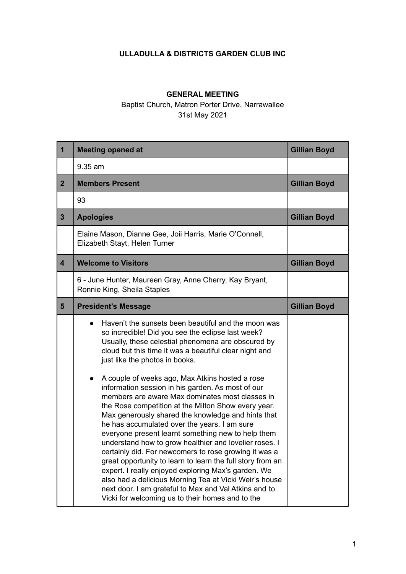## **ULLADULLA & DISTRICTS GARDEN CLUB INC**

## **GENERAL MEETING**

Baptist Church, Matron Porter Drive, Narrawallee 31st May 2021

| $\mathbf{1}$   | <b>Meeting opened at</b>                                                                                                                                                                                                                                                                                                                                                                                                                                                                                                                                                                                                                                                                                                                                                                               | <b>Gillian Boyd</b> |
|----------------|--------------------------------------------------------------------------------------------------------------------------------------------------------------------------------------------------------------------------------------------------------------------------------------------------------------------------------------------------------------------------------------------------------------------------------------------------------------------------------------------------------------------------------------------------------------------------------------------------------------------------------------------------------------------------------------------------------------------------------------------------------------------------------------------------------|---------------------|
|                | 9.35 am                                                                                                                                                                                                                                                                                                                                                                                                                                                                                                                                                                                                                                                                                                                                                                                                |                     |
| $\overline{2}$ | <b>Members Present</b>                                                                                                                                                                                                                                                                                                                                                                                                                                                                                                                                                                                                                                                                                                                                                                                 | <b>Gillian Boyd</b> |
|                | 93                                                                                                                                                                                                                                                                                                                                                                                                                                                                                                                                                                                                                                                                                                                                                                                                     |                     |
| $\overline{3}$ | <b>Apologies</b>                                                                                                                                                                                                                                                                                                                                                                                                                                                                                                                                                                                                                                                                                                                                                                                       | <b>Gillian Boyd</b> |
|                | Elaine Mason, Dianne Gee, Joii Harris, Marie O'Connell,<br>Elizabeth Stayt, Helen Turner                                                                                                                                                                                                                                                                                                                                                                                                                                                                                                                                                                                                                                                                                                               |                     |
| 4              | <b>Welcome to Visitors</b>                                                                                                                                                                                                                                                                                                                                                                                                                                                                                                                                                                                                                                                                                                                                                                             | <b>Gillian Boyd</b> |
|                | 6 - June Hunter, Maureen Gray, Anne Cherry, Kay Bryant,<br>Ronnie King, Sheila Staples                                                                                                                                                                                                                                                                                                                                                                                                                                                                                                                                                                                                                                                                                                                 |                     |
| $5\phantom{1}$ | <b>President's Message</b>                                                                                                                                                                                                                                                                                                                                                                                                                                                                                                                                                                                                                                                                                                                                                                             | <b>Gillian Boyd</b> |
|                | Haven't the sunsets been beautiful and the moon was<br>so incredible! Did you see the eclipse last week?<br>Usually, these celestial phenomena are obscured by<br>cloud but this time it was a beautiful clear night and<br>just like the photos in books.                                                                                                                                                                                                                                                                                                                                                                                                                                                                                                                                             |                     |
|                | A couple of weeks ago, Max Atkins hosted a rose<br>$\bullet$<br>information session in his garden. As most of our<br>members are aware Max dominates most classes in<br>the Rose competition at the Milton Show every year.<br>Max generously shared the knowledge and hints that<br>he has accumulated over the years. I am sure<br>everyone present learnt something new to help them<br>understand how to grow healthier and lovelier roses. I<br>certainly did. For newcomers to rose growing it was a<br>great opportunity to learn to learn the full story from an<br>expert. I really enjoyed exploring Max's garden. We<br>also had a delicious Morning Tea at Vicki Weir's house<br>next door. I am grateful to Max and Val Atkins and to<br>Vicki for welcoming us to their homes and to the |                     |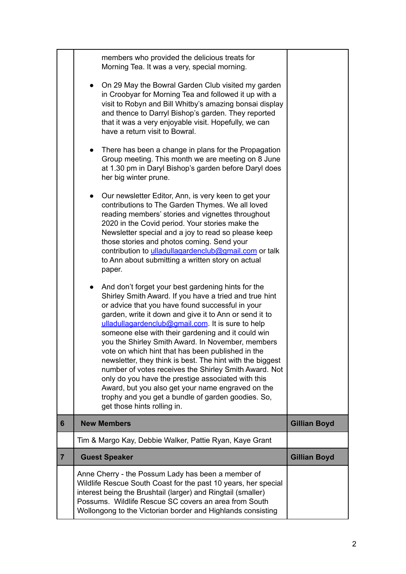|                | Anne Cherry - the Possum Lady has been a member of<br>Wildlife Rescue South Coast for the past 10 years, her special<br>interest being the Brushtail (larger) and Ringtail (smaller)<br>Possums. Wildlife Rescue SC covers an area from South<br>Wollongong to the Victorian border and Highlands consisting                                                                                                                                                                                                                                                                                                                                                                                                                                                          |                     |
|----------------|-----------------------------------------------------------------------------------------------------------------------------------------------------------------------------------------------------------------------------------------------------------------------------------------------------------------------------------------------------------------------------------------------------------------------------------------------------------------------------------------------------------------------------------------------------------------------------------------------------------------------------------------------------------------------------------------------------------------------------------------------------------------------|---------------------|
| $\overline{7}$ | <b>Guest Speaker</b>                                                                                                                                                                                                                                                                                                                                                                                                                                                                                                                                                                                                                                                                                                                                                  | <b>Gillian Boyd</b> |
|                | Tim & Margo Kay, Debbie Walker, Pattie Ryan, Kaye Grant                                                                                                                                                                                                                                                                                                                                                                                                                                                                                                                                                                                                                                                                                                               |                     |
| 6              | <b>New Members</b>                                                                                                                                                                                                                                                                                                                                                                                                                                                                                                                                                                                                                                                                                                                                                    | <b>Gillian Boyd</b> |
|                | And don't forget your best gardening hints for the<br>Shirley Smith Award. If you have a tried and true hint<br>or advice that you have found successful in your<br>garden, write it down and give it to Ann or send it to<br>ulladullagardenclub@gmail.com. It is sure to help<br>someone else with their gardening and it could win<br>you the Shirley Smith Award. In November, members<br>vote on which hint that has been published in the<br>newsletter, they think is best. The hint with the biggest<br>number of votes receives the Shirley Smith Award. Not<br>only do you have the prestige associated with this<br>Award, but you also get your name engraved on the<br>trophy and you get a bundle of garden goodies. So,<br>get those hints rolling in. |                     |
|                | Our newsletter Editor, Ann, is very keen to get your<br>contributions to The Garden Thymes. We all loved<br>reading members' stories and vignettes throughout<br>2020 in the Covid period. Your stories make the<br>Newsletter special and a joy to read so please keep<br>those stories and photos coming. Send your<br>contribution to ulladullagardenclub@gmail.com or talk<br>to Ann about submitting a written story on actual<br>paper.                                                                                                                                                                                                                                                                                                                         |                     |
|                | There has been a change in plans for the Propagation<br>Group meeting. This month we are meeting on 8 June<br>at 1.30 pm in Daryl Bishop's garden before Daryl does<br>her big winter prune.                                                                                                                                                                                                                                                                                                                                                                                                                                                                                                                                                                          |                     |
|                | On 29 May the Bowral Garden Club visited my garden<br>in Croobyar for Morning Tea and followed it up with a<br>visit to Robyn and Bill Whitby's amazing bonsai display<br>and thence to Darryl Bishop's garden. They reported<br>that it was a very enjoyable visit. Hopefully, we can<br>have a return visit to Bowral.                                                                                                                                                                                                                                                                                                                                                                                                                                              |                     |
|                | members who provided the delicious treats for<br>Morning Tea. It was a very, special morning.                                                                                                                                                                                                                                                                                                                                                                                                                                                                                                                                                                                                                                                                         |                     |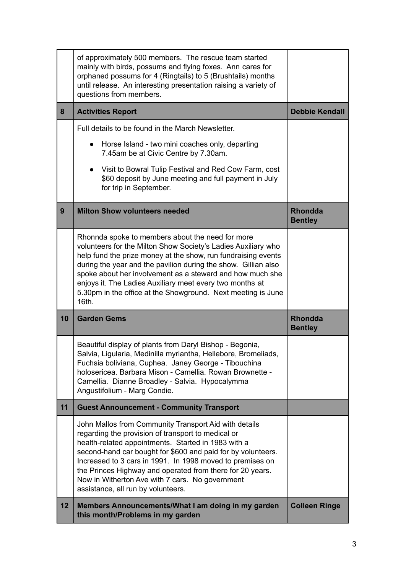|    | of approximately 500 members. The rescue team started<br>mainly with birds, possums and flying foxes. Ann cares for<br>orphaned possums for 4 (Ringtails) to 5 (Brushtails) months<br>until release. An interesting presentation raising a variety of<br>questions from members.                                                                                                                                                                       |                                  |
|----|--------------------------------------------------------------------------------------------------------------------------------------------------------------------------------------------------------------------------------------------------------------------------------------------------------------------------------------------------------------------------------------------------------------------------------------------------------|----------------------------------|
| 8  | <b>Activities Report</b>                                                                                                                                                                                                                                                                                                                                                                                                                               | <b>Debbie Kendall</b>            |
|    | Full details to be found in the March Newsletter.                                                                                                                                                                                                                                                                                                                                                                                                      |                                  |
|    | Horse Island - two mini coaches only, departing<br>7.45am be at Civic Centre by 7.30am.                                                                                                                                                                                                                                                                                                                                                                |                                  |
|    | Visit to Bowral Tulip Festival and Red Cow Farm, cost<br>\$60 deposit by June meeting and full payment in July<br>for trip in September.                                                                                                                                                                                                                                                                                                               |                                  |
| 9  | <b>Milton Show volunteers needed</b>                                                                                                                                                                                                                                                                                                                                                                                                                   | <b>Rhondda</b><br><b>Bentley</b> |
|    | Rhonnda spoke to members about the need for more<br>volunteers for the Milton Show Society's Ladies Auxiliary who<br>help fund the prize money at the show, run fundraising events<br>during the year and the pavilion during the show. Gillian also<br>spoke about her involvement as a steward and how much she<br>enjoys it. The Ladies Auxiliary meet every two months at<br>5.30pm in the office at the Showground. Next meeting is June<br>16th. |                                  |
| 10 | <b>Garden Gems</b>                                                                                                                                                                                                                                                                                                                                                                                                                                     | <b>Rhondda</b><br><b>Bentley</b> |
|    | Beautiful display of plants from Daryl Bishop - Begonia,<br>Salvia, Ligularia, Medinilla myriantha, Hellebore, Bromeliads<br>Fuchsia boliviana, Cuphea. Janey George - Tibouchina<br>holosericea. Barbara Mison - Camellia. Rowan Brownette -<br>Camellia. Dianne Broadley - Salvia. Hypocalymma<br>Angustifolium - Marg Condie.                                                                                                                       |                                  |
| 11 | <b>Guest Announcement - Community Transport</b>                                                                                                                                                                                                                                                                                                                                                                                                        |                                  |
|    |                                                                                                                                                                                                                                                                                                                                                                                                                                                        |                                  |
|    | John Mallos from Community Transport Aid with details<br>regarding the provision of transport to medical or<br>health-related appointments. Started in 1983 with a<br>second-hand car bought for \$600 and paid for by volunteers.<br>Increased to 3 cars in 1991. In 1998 moved to premises on<br>the Princes Highway and operated from there for 20 years.<br>Now in Witherton Ave with 7 cars. No government<br>assistance, all run by volunteers.  |                                  |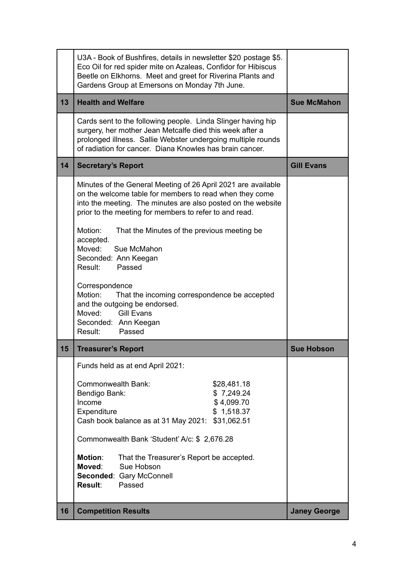|    | U3A - Book of Bushfires, details in newsletter \$20 postage \$5.<br>Eco Oil for red spider mite on Azaleas, Confidor for Hibiscus<br>Beetle on Elkhorns. Meet and greet for Riverina Plants and<br>Gardens Group at Emersons on Monday 7th June.                                                                                                                                                                                                                                                                                                                                          |                     |
|----|-------------------------------------------------------------------------------------------------------------------------------------------------------------------------------------------------------------------------------------------------------------------------------------------------------------------------------------------------------------------------------------------------------------------------------------------------------------------------------------------------------------------------------------------------------------------------------------------|---------------------|
| 13 | <b>Health and Welfare</b>                                                                                                                                                                                                                                                                                                                                                                                                                                                                                                                                                                 | <b>Sue McMahon</b>  |
|    | Cards sent to the following people. Linda Slinger having hip<br>surgery, her mother Jean Metcalfe died this week after a<br>prolonged illness. Sallie Webster undergoing multiple rounds<br>of radiation for cancer. Diana Knowles has brain cancer.                                                                                                                                                                                                                                                                                                                                      |                     |
| 14 | <b>Secretary's Report</b>                                                                                                                                                                                                                                                                                                                                                                                                                                                                                                                                                                 | <b>Gill Evans</b>   |
|    | Minutes of the General Meeting of 26 April 2021 are available<br>on the welcome table for members to read when they come<br>into the meeting. The minutes are also posted on the website<br>prior to the meeting for members to refer to and read.<br>Motion:<br>That the Minutes of the previous meeting be<br>accepted.<br>Moved:<br>Sue McMahon<br>Seconded: Ann Keegan<br>Result:<br>Passed<br>Correspondence<br>Motion:<br>That the incoming correspondence be accepted<br>and the outgoing be endorsed.<br>Moved:<br><b>Gill Evans</b><br>Seconded: Ann Keegan<br>Result:<br>Passed |                     |
| 15 | <b>Treasurer's Report</b>                                                                                                                                                                                                                                                                                                                                                                                                                                                                                                                                                                 | <b>Sue Hobson</b>   |
|    | Funds held as at end April 2021:                                                                                                                                                                                                                                                                                                                                                                                                                                                                                                                                                          |                     |
|    | Commonwealth Bank:<br>\$28,481.18<br>Bendigo Bank:<br>\$7,249.24<br>\$4,099.70<br>Income<br>\$1,518.37<br>Expenditure<br>Cash book balance as at 31 May 2021: \$31,062.51<br>Commonwealth Bank 'Student' A/c: \$ 2,676.28<br><b>Motion:</b><br>That the Treasurer's Report be accepted.<br>Moved:<br>Sue Hobson<br>Seconded: Gary McConnell<br>Passed<br><b>Result:</b>                                                                                                                                                                                                                   |                     |
| 16 | <b>Competition Results</b>                                                                                                                                                                                                                                                                                                                                                                                                                                                                                                                                                                | <b>Janey George</b> |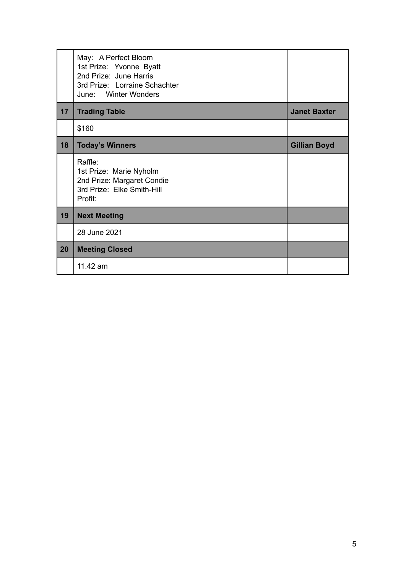|    | May: A Perfect Bloom<br>1st Prize: Yvonne Byatt<br>2nd Prize: June Harris<br>3rd Prize: Lorraine Schachter<br>June: Winter Wonders |                     |
|----|------------------------------------------------------------------------------------------------------------------------------------|---------------------|
| 17 | <b>Trading Table</b>                                                                                                               | <b>Janet Baxter</b> |
|    | \$160                                                                                                                              |                     |
| 18 | <b>Today's Winners</b>                                                                                                             | <b>Gillian Boyd</b> |
|    | Raffle:<br>1st Prize: Marie Nyholm<br>2nd Prize: Margaret Condie<br>3rd Prize: Elke Smith-Hill<br>Profit:                          |                     |
| 19 | <b>Next Meeting</b>                                                                                                                |                     |
|    | 28 June 2021                                                                                                                       |                     |
| 20 | <b>Meeting Closed</b>                                                                                                              |                     |
|    | 11.42 am                                                                                                                           |                     |